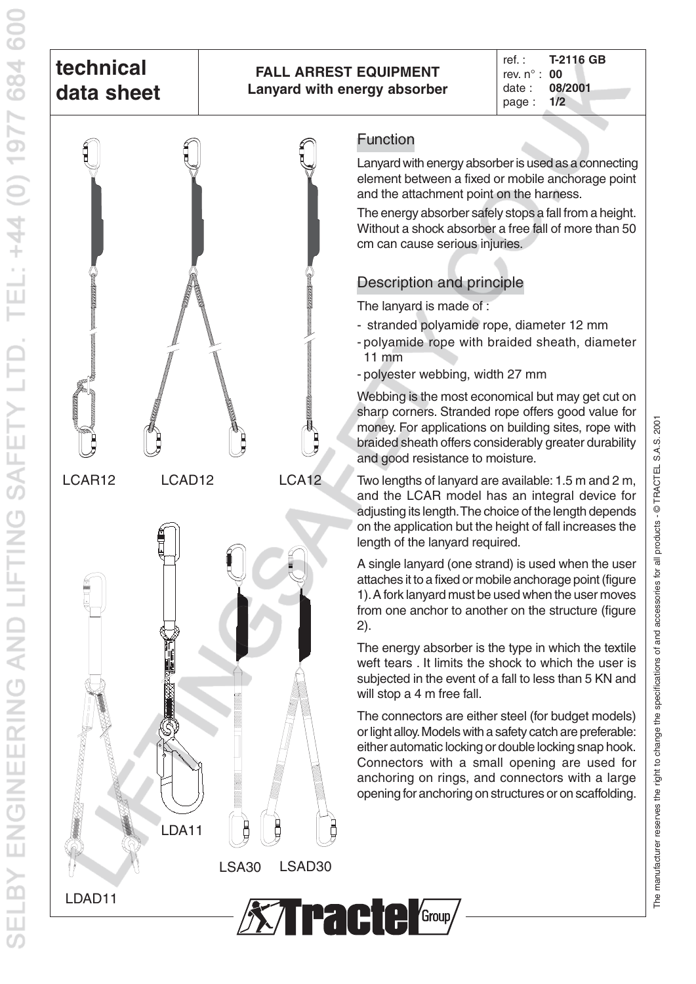# **technical data sheet**

TEL: +44 (0) 1977 684 600

**ENGINEERING AND LIFTING SAFETY LTD** 

**FLBY** 

#### **FALL ARREST EQUIPMENT Lanyard with energy absorber**

ref. : **T-2116 GB** rev. n° : **00** date : **08/2001** page : **1/2**



LDA11

LSA30 LSAD30

**XTracte Group** 

### Function

element between a fixed or mobile anchorage point and the attachment point on the harness. Lanyard with energy absorber is used as a connecting

The energy absorber safely stops a fall from a height. Without a shock absorber a free fall of more than 50 cm can cause serious injuries.

## Description and principle

The lanyard is made of :

- stranded polyamide rope, diameter 12 mm
- polyamide rope with braided sheath, diameter 11 mm
- polyester webbing, width 27 mm

Webbing is the most economical but may get cut on sharp corners. Stranded rope offers good value for money. For applications on building sites, rope with braided sheath offers considerably greater durability and good resistance to moisture.

Two lengths of lanyard are available: 1.5 m and 2 m, and the LCAR model has an integral device for adjusting its length.The choice of the length depends on the application but the height of fall increases the length of the lanyard required.

A single lanyard (one strand) is used when the user attaches it to a fixed or mobile anchorage point (figure 1).A fork lanyard must be used when the user moves from one anchor to another on the structure (figure 2).

The energy absorber is the type in which the textile weft tears . It limits the shock to which the user is subjected in the event of a fall to less than 5 KN and will stop a 4 m free fall.

The connectors are either steel (for budget models) or light alloy.Models with a safety catch are preferable: either automatic locking or double locking snap hook. Connectors with a small opening are used for anchoring on rings, and connectors with a large opening for anchoring on structures or on scaffolding.



LDAD11